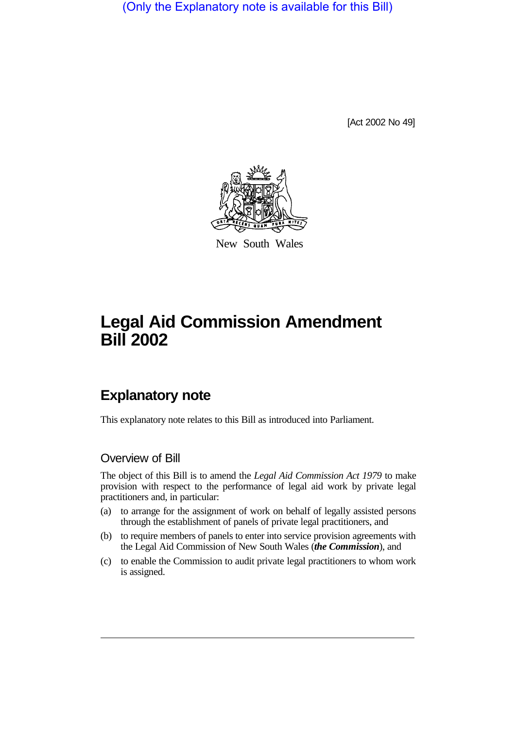(Only the Explanatory note is available for this Bill)

[Act 2002 No 49]



New South Wales

# **Legal Aid Commission Amendment Bill 2002**

## **Explanatory note**

This explanatory note relates to this Bill as introduced into Parliament.

#### Overview of Bill

The object of this Bill is to amend the *Legal Aid Commission Act 1979* to make provision with respect to the performance of legal aid work by private legal practitioners and, in particular:

- (a) to arrange for the assignment of work on behalf of legally assisted persons through the establishment of panels of private legal practitioners, and
- (b) to require members of panels to enter into service provision agreements with the Legal Aid Commission of New South Wales (*the Commission*), and
- (c) to enable the Commission to audit private legal practitioners to whom work is assigned.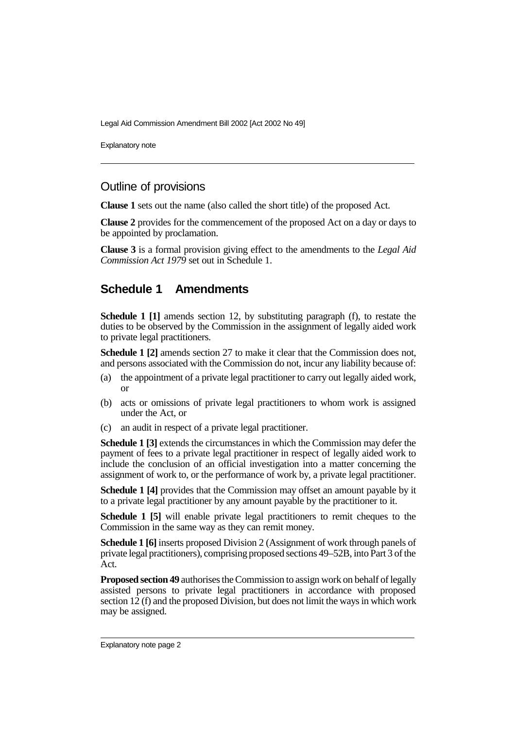Legal Aid Commission Amendment Bill 2002 [Act 2002 No 49]

Explanatory note

### Outline of provisions

**Clause 1** sets out the name (also called the short title) of the proposed Act.

**Clause 2** provides for the commencement of the proposed Act on a day or days to be appointed by proclamation.

**Clause 3** is a formal provision giving effect to the amendments to the *Legal Aid Commission Act 1979* set out in Schedule 1.

#### **Schedule 1 Amendments**

**Schedule 1 [1]** amends section 12, by substituting paragraph (f), to restate the duties to be observed by the Commission in the assignment of legally aided work to private legal practitioners.

**Schedule 1 [2]** amends section 27 to make it clear that the Commission does not, and persons associated with the Commission do not, incur any liability because of:

- (a) the appointment of a private legal practitioner to carry out legally aided work, or
- (b) acts or omissions of private legal practitioners to whom work is assigned under the Act, or
- (c) an audit in respect of a private legal practitioner.

**Schedule 1 [3]** extends the circumstances in which the Commission may defer the payment of fees to a private legal practitioner in respect of legally aided work to include the conclusion of an official investigation into a matter concerning the assignment of work to, or the performance of work by, a private legal practitioner.

**Schedule 1 [4]** provides that the Commission may offset an amount payable by it to a private legal practitioner by any amount payable by the practitioner to it.

**Schedule 1 [5]** will enable private legal practitioners to remit cheques to the Commission in the same way as they can remit money.

**Schedule 1 [6]** inserts proposed Division 2 (Assignment of work through panels of private legal practitioners), comprising proposed sections 49–52B, into Part 3 of the Act.

**Proposed section 49** authorises the Commission to assign work on behalf of legally assisted persons to private legal practitioners in accordance with proposed section 12 (f) and the proposed Division, but does not limit the ways in which work may be assigned.